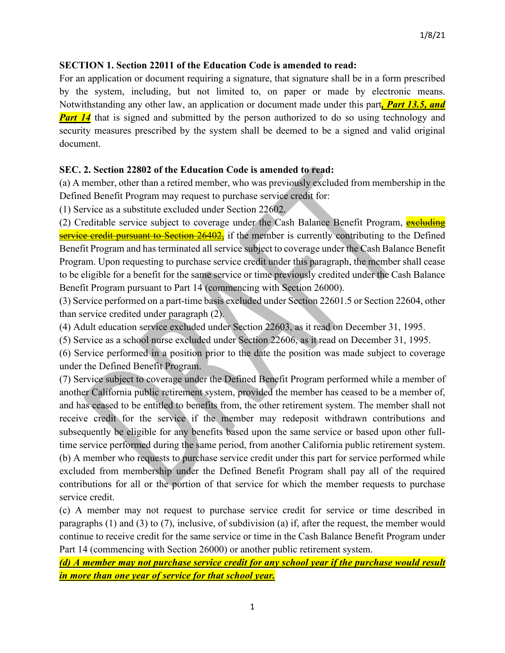## **SECTION 1. Section 22011 of the Education Code is amended to read:**

For an application or document requiring a signature, that signature shall be in a form prescribed by the system, including, but not limited to, on paper or made by electronic means. Notwithstanding any other law, an application or document made under this part*, Part 13.5, and*  **Part 14** that is signed and submitted by the person authorized to do so using technology and security measures prescribed by the system shall be deemed to be a signed and valid original document.

## **SEC. 2. Section 22802 of the Education Code is amended to read:**

(a) A member, other than a retired member, who was previously excluded from membership in the Defined Benefit Program may request to purchase service credit for:

(1) Service as a substitute excluded under Section 22602.

(2) Creditable service subject to coverage under the Cash Balance Benefit Program, excluding service credit pursuant to Section 26402, if the member is currently contributing to the Defined Benefit Program and has terminated all service subject to coverage under the Cash Balance Benefit Program. Upon requesting to purchase service credit under this paragraph, the member shall cease to be eligible for a benefit for the same service or time previously credited under the Cash Balance Benefit Program pursuant to Part 14 (commencing with Section 26000).

(3) Service performed on a part-time basis excluded under Section 22601.5 or Section 22604, other than service credited under paragraph (2).

(4) Adult education service excluded under Section 22603, as it read on December 31, 1995.

(5) Service as a school nurse excluded under Section 22606, as it read on December 31, 1995.

(6) Service performed in a position prior to the date the position was made subject to coverage under the Defined Benefit Program.

(7) Service subject to coverage under the Defined Benefit Program performed while a member of another California public retirement system, provided the member has ceased to be a member of, and has ceased to be entitled to benefits from, the other retirement system. The member shall not receive credit for the service if the member may redeposit withdrawn contributions and subsequently be eligible for any benefits based upon the same service or based upon other fulltime service performed during the same period, from another California public retirement system. (b) A member who requests to purchase service credit under this part for service performed while excluded from membership under the Defined Benefit Program shall pay all of the required contributions for all or the portion of that service for which the member requests to purchase service credit.

(c) A member may not request to purchase service credit for service or time described in paragraphs (1) and (3) to (7), inclusive, of subdivision (a) if, after the request, the member would continue to receive credit for the same service or time in the Cash Balance Benefit Program under Part 14 (commencing with Section 26000) or another public retirement system.

*(d) A member may not purchase service credit for any school year if the purchase would result in more than one year of service for that school year.*